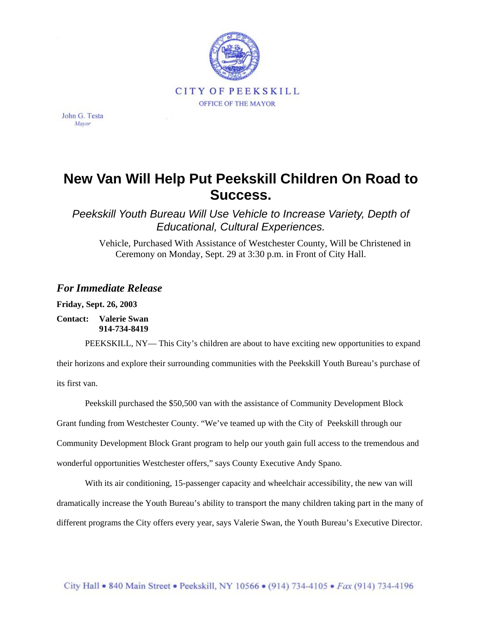

John G. Testa Mayor

## **New Van Will Help Put Peekskill Children On Road to Success.**

*Peekskill Youth Bureau Will Use Vehicle to Increase Variety, Depth of Educational, Cultural Experiences.*

Vehicle, Purchased With Assistance of Westchester County, Will be Christened in Ceremony on Monday, Sept. 29 at 3:30 p.m. in Front of City Hall.

## *For Immediate Release*

**Friday, Sept. 26, 2003** 

**Contact: Valerie Swan 914-734-8419** 

PEEKSKILL, NY— This City's children are about to have exciting new opportunities to expand

their horizons and explore their surrounding communities with the Peekskill Youth Bureau's purchase of its first van.

Peekskill purchased the \$50,500 van with the assistance of Community Development Block

Grant funding from Westchester County. "We've teamed up with the City of Peekskill through our

Community Development Block Grant program to help our youth gain full access to the tremendous and

wonderful opportunities Westchester offers," says County Executive Andy Spano.

With its air conditioning, 15-passenger capacity and wheelchair accessibility, the new van will dramatically increase the Youth Bureau's ability to transport the many children taking part in the many of different programs the City offers every year, says Valerie Swan, the Youth Bureau's Executive Director.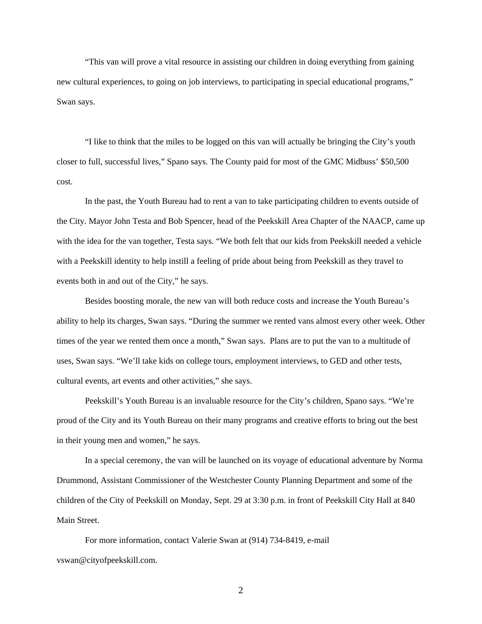"This van will prove a vital resource in assisting our children in doing everything from gaining new cultural experiences, to going on job interviews, to participating in special educational programs," Swan says.

"I like to think that the miles to be logged on this van will actually be bringing the City's youth closer to full, successful lives," Spano says. The County paid for most of the GMC Midbuss' \$50,500 cost.

In the past, the Youth Bureau had to rent a van to take participating children to events outside of the City. Mayor John Testa and Bob Spencer, head of the Peekskill Area Chapter of the NAACP, came up with the idea for the van together, Testa says. "We both felt that our kids from Peekskill needed a vehicle with a Peekskill identity to help instill a feeling of pride about being from Peekskill as they travel to events both in and out of the City," he says.

Besides boosting morale, the new van will both reduce costs and increase the Youth Bureau's ability to help its charges, Swan says. "During the summer we rented vans almost every other week. Other times of the year we rented them once a month," Swan says. Plans are to put the van to a multitude of uses, Swan says. "We'll take kids on college tours, employment interviews, to GED and other tests, cultural events, art events and other activities," she says.

Peekskill's Youth Bureau is an invaluable resource for the City's children, Spano says. "We're proud of the City and its Youth Bureau on their many programs and creative efforts to bring out the best in their young men and women," he says.

In a special ceremony, the van will be launched on its voyage of educational adventure by Norma Drummond, Assistant Commissioner of the Westchester County Planning Department and some of the children of the City of Peekskill on Monday, Sept. 29 at 3:30 p.m. in front of Peekskill City Hall at 840 Main Street.

For more information, contact Valerie Swan at (914) 734-8419, e-mail vswan@cityofpeekskill.com.